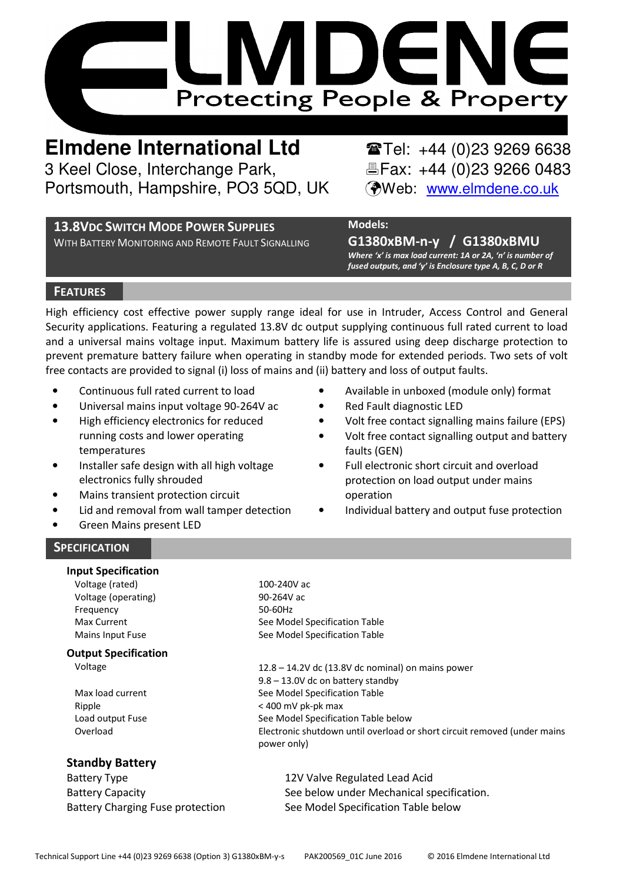

**Elmdene International Ltd** Tel: +44 (0)23 9269 6638 3 Keel Close, Interchange Park, Fax: +44 (0)23 9266 0483 Portsmouth, Hampshire, PO3 5QD, UK (Web: www.elmdene.co.uk

## **13.8VDC SWITCH MODE POWER SUPPLIES**

WITH BATTERY MONITORING AND REMOTE FAULT SIGNALLING

# Models:

G1380xBM-n-y / G1380xBMU Where 'x' is max load current: 1A or 2A, 'n' is number of fused outputs, and 'y' is Enclosure type A, B, C, D or R

## **FEATURES**

High efficiency cost effective power supply range ideal for use in Intruder, Access Control and General Security applications. Featuring a regulated 13.8V dc output supplying continuous full rated current to load and a universal mains voltage input. Maximum battery life is assured using deep discharge protection to prevent premature battery failure when operating in standby mode for extended periods. Two sets of volt free contacts are provided to signal (i) loss of mains and (ii) battery and loss of output faults.

- Continuous full rated current to load
- Universal mains input voltage 90-264V ac
- High efficiency electronics for reduced running costs and lower operating temperatures
- Installer safe design with all high voltage electronics fully shrouded
- Mains transient protection circuit
- Lid and removal from wall tamper detection
- Green Mains present LED
- Available in unboxed (module only) format
- Red Fault diagnostic LED
- Volt free contact signalling mains failure (EPS)
- Volt free contact signalling output and battery faults (GEN)
- Full electronic short circuit and overload protection on load output under mains operation
- Individual battery and output fuse protection

## **SPECIFICATION**

## Input Specification

Voltage (rated) 100-240V ac Voltage (operating) 90-264V ac Frequency 50-60Hz

## Output Specification

## Standby Battery

Battery Type **12V Valve Regulated Lead Acid** 

Max Current **Max** Current See Model Specification Table Mains Input Fuse See Model Specification Table

Voltage 12.8 – 14.2V dc (13.8V dc nominal) on mains power 9.8 – 13.0V dc on battery standby Max load current See Model Specification Table Ripple < 400 mV pk-pk max Load output Fuse See Model Specification Table below Overload Electronic shutdown until overload or short circuit removed (under mains power only)

Battery Capacity **See below under Mechanical specification.** Battery Charging Fuse protection See Model Specification Table below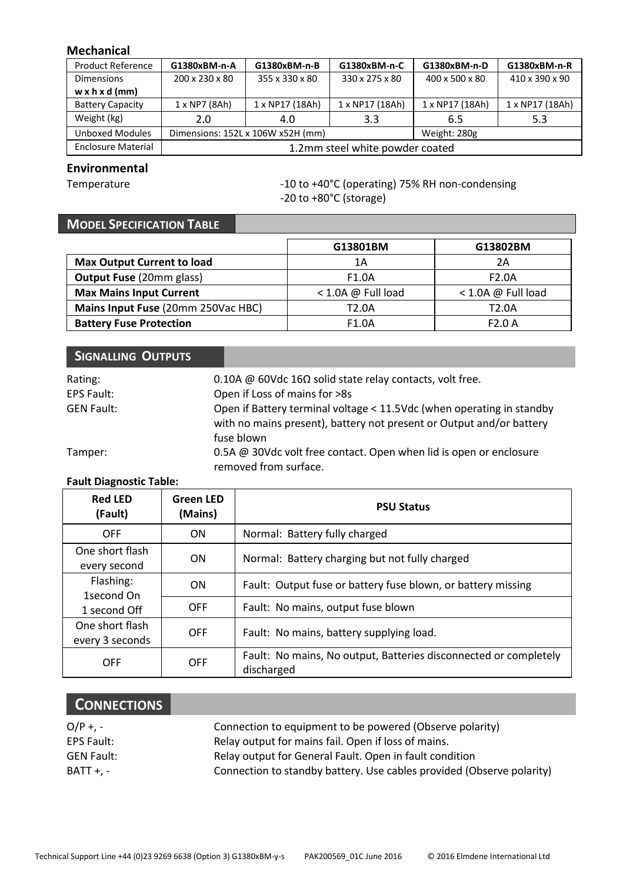## Mechanical

| <b>Product Reference</b>   | G1380xBM-n-A                      | G1380xBM-n-B    | G1380xBM-n-C    | G1380xBM-n-D    | G1380xBM-n-R    |
|----------------------------|-----------------------------------|-----------------|-----------------|-----------------|-----------------|
| <b>Dimensions</b>          | 200 x 230 x 80                    | 355 x 330 x 80  | 330 x 275 x 80  | 400 x 500 x 80  | 410 x 390 x 90  |
| $w \times h \times d$ (mm) |                                   |                 |                 |                 |                 |
| <b>Battery Capacity</b>    | $1 \times NP7$ (8Ah)              | 1 x NP17 (18Ah) | 1 x NP17 (18Ah) | 1 x NP17 (18Ah) | 1 x NP17 (18Ah) |
| Weight (kg)                | 2.0                               | 4.0             | 3.3             | 6.5             | 5.3             |
| <b>Unboxed Modules</b>     | Dimensions: 152L x 106W x52H (mm) |                 | Weight: 280g    |                 |                 |
| <b>Enclosure Material</b>  | 1.2mm steel white powder coated   |                 |                 |                 |                 |

## Environmental

Temperature  $-10$  to +40°C (operating) 75% RH non-condensing -20 to +80°C (storage)

# MODEL SPECIFICATION TABLE

|                                    | G13801BM             | G13802BM           |
|------------------------------------|----------------------|--------------------|
| <b>Max Output Current to load</b>  | 1Α                   | 2A                 |
| <b>Output Fuse (20mm glass)</b>    | F1.0A                | F <sub>2.0</sub> A |
| <b>Max Mains Input Current</b>     | $<$ 1.0A @ Full load | < 1.0A @ Full load |
| Mains Input Fuse (20mm 250Vac HBC) | T <sub>2.0</sub> A   | T <sub>2.0</sub> A |
| <b>Battery Fuse Protection</b>     | F <sub>1.0</sub> A   | F2.0A              |

| SIGNALLING OUTPUTS |                                                                                                                                               |
|--------------------|-----------------------------------------------------------------------------------------------------------------------------------------------|
| Rating:            | 0.10A @ 60Vdc 16 $\Omega$ solid state relay contacts, volt free.                                                                              |
| EPS Fault:         | Open if Loss of mains for >8s                                                                                                                 |
| <b>GEN Fault:</b>  | Open if Battery terminal voltage < 11.5Vdc (when operating in standby<br>with no mains present), battery not present or Output and/or battery |
|                    | fuse blown                                                                                                                                    |
| Tamper:            | 0.5A @ 30Vdc volt free contact. Open when lid is open or enclosure<br>removed from surface.                                                   |

## Fault Diagnostic Table:

| <b>Red LFD</b><br>(Fault)               | <b>Green LED</b><br>(Mains) | <b>PSU Status</b>                                                              |  |
|-----------------------------------------|-----------------------------|--------------------------------------------------------------------------------|--|
| OFF                                     | ON                          | Normal: Battery fully charged                                                  |  |
| One short flash<br>every second         | ON                          | Normal: Battery charging but not fully charged                                 |  |
| Flashing:<br>1second On<br>1 second Off | ON                          | Fault: Output fuse or battery fuse blown, or battery missing                   |  |
|                                         | OFF                         | Fault: No mains, output fuse blown                                             |  |
| One short flash<br>every 3 seconds      | OFF                         | Fault: No mains, battery supplying load.                                       |  |
| OFF                                     | OFF                         | Fault: No mains, No output, Batteries disconnected or completely<br>discharged |  |

# **CONNECTIONS**

| $O/P + -$  | Connection to equipment to be powered (Observe polarity)              |
|------------|-----------------------------------------------------------------------|
| EPS Fault: | Relay output for mains fail. Open if loss of mains.                   |
| GEN Fault: | Relay output for General Fault. Open in fault condition               |
| BATT +. -  | Connection to standby battery. Use cables provided (Observe polarity) |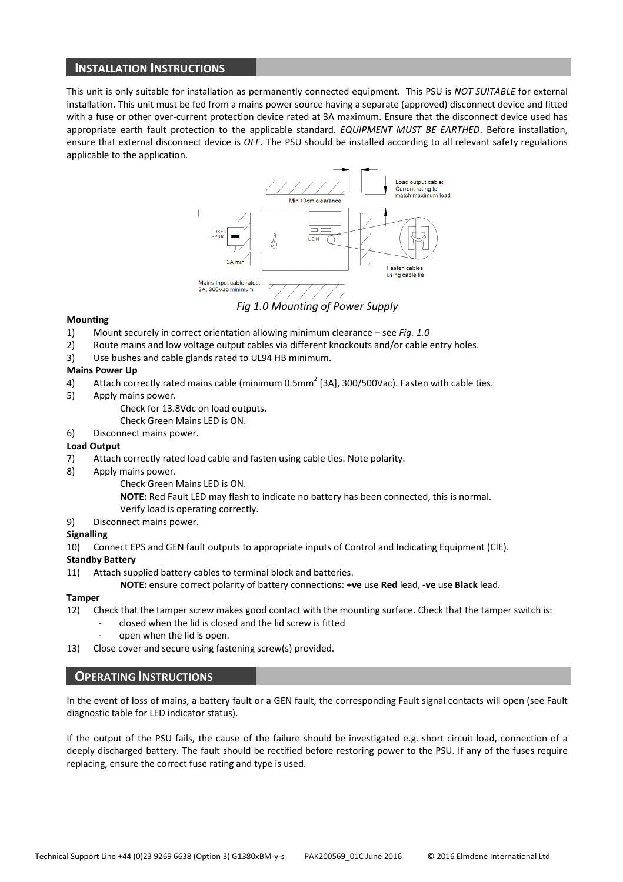## INSTALLATION INSTRUCTIONS

This unit is only suitable for installation as permanently connected equipment. This PSU is NOT SUITABLE for external installation. This unit must be fed from a mains power source having a separate (approved) disconnect device and fitted with a fuse or other over-current protection device rated at 3A maximum. Ensure that the disconnect device used has appropriate earth fault protection to the applicable standard. EQUIPMENT MUST BE EARTHED. Before installation, ensure that external disconnect device is OFF. The PSU should be installed according to all relevant safety regulations applicable to the application.



Fig 1.0 Mounting of Power Supply

#### Mounting

- 1) Mount securely in correct orientation allowing minimum clearance see Fig. 1.0
- 2) Route mains and low voltage output cables via different knockouts and/or cable entry holes.
- 3) Use bushes and cable glands rated to UL94 HB minimum.

#### Mains Power Up

- 4) Attach correctly rated mains cable (minimum 0.5mm<sup>2</sup> [3A], 300/500Vac). Fasten with cable ties.
- 5) Apply mains power.
	- Check for 13.8Vdc on load outputs.
	- Check Green Mains LED is ON.
- 6) Disconnect mains power.

#### Load Output

- 7) Attach correctly rated load cable and fasten using cable ties. Note polarity.
- 8) Apply mains power.
	- Check Green Mains LED is ON.
	- NOTE: Red Fault LED may flash to indicate no battery has been connected, this is normal.
	- Verify load is operating correctly.
- 9) Disconnect mains power.

#### Signalling

10) Connect EPS and GEN fault outputs to appropriate inputs of Control and Indicating Equipment (CIE).

#### Standby Battery

11) Attach supplied battery cables to terminal block and batteries.

NOTE: ensure correct polarity of battery connections: +ve use Red lead, -ve use Black lead.

#### Tamper

- 12) Check that the tamper screw makes good contact with the mounting surface. Check that the tamper switch is:
	- closed when the lid is closed and the lid screw is fitted
	- open when the lid is open.
- 13) Close cover and secure using fastening screw(s) provided.

#### OPERATING INSTRUCTIONS

In the event of loss of mains, a battery fault or a GEN fault, the corresponding Fault signal contacts will open (see Fault diagnostic table for LED indicator status).

If the output of the PSU fails, the cause of the failure should be investigated e.g. short circuit load, connection of a deeply discharged battery. The fault should be rectified before restoring power to the PSU. If any of the fuses require replacing, ensure the correct fuse rating and type is used.